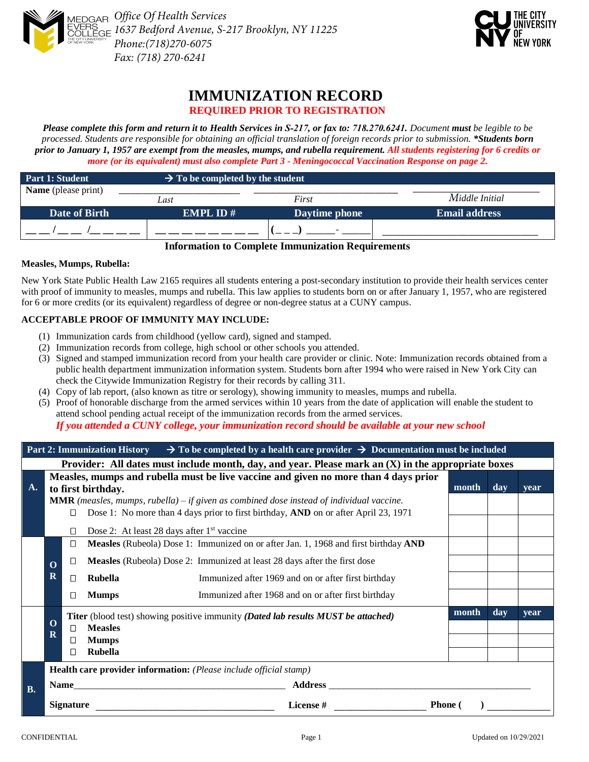



# **IMMUNIZATION RECORD REQUIRED PRIOR TO REGISTRATION**

*Please complete this form and return it to Health Services in S-217, or fax to: 718.270.6241. Document must be legible to be processed. Students are responsible for obtaining an official translation of foreign records prior to submission. \*Students born prior to January 1, 1957 are exempt from the measles, mumps, and rubella requirement. All students registering for 6 credits or more (or its equivalent) must also complete Part 3 - Meningococcal Vaccination Response on page 2.*

| Part 1: Student            | $\rightarrow$ To be completed by the student |               |                      |  |
|----------------------------|----------------------------------------------|---------------|----------------------|--|
| <b>Name</b> (please print) | Last                                         | First         | Middle Initial       |  |
| Date of Birth              | <b>EMPL ID#</b>                              | Daytime phone | <b>Email address</b> |  |
|                            |                                              |               |                      |  |

#### **Information to Complete Immunization Requirements**

#### **Measles, Mumps, Rubella:**

New York State Public Health Law 2165 requires all students entering a post-secondary institution to provide their health services center with proof of immunity to measles, mumps and rubella. This law applies to students born on or after January 1, 1957, who are registered for 6 or more credits (or its equivalent) regardless of degree or non-degree status at a CUNY campus.

# **ACCEPTABLE PROOF OF IMMUNITY MAY INCLUDE:**

- (1) Immunization cards from childhood (yellow card), signed and stamped.
- (2) Immunization records from college, high school or other schools you attended.
- (3) Signed and stamped immunization record from your health care provider or clinic. Note: Immunization records obtained from a public health department immunization information system. Students born after 1994 who were raised in New York City can check the Citywide Immunization Registry for their records by calling 311.
- (4) Copy of lab report, (also known as titre or serology), showing immunity to measles, mumps and rubella.
- (5) Proof of honorable discharge from the armed services within 10 years from the date of application will enable the student to attend school pending actual receipt of the immunization records from the armed services.

*If you attended a CUNY college, your immunization record should be available at your new school*

|           | Part 2: Immunization History $\rightarrow$ To be completed by a health care provider $\rightarrow$ Documentation must be included         |        |                    |                                                                                                                                                                                        |       |                  |      |  |
|-----------|-------------------------------------------------------------------------------------------------------------------------------------------|--------|--------------------|----------------------------------------------------------------------------------------------------------------------------------------------------------------------------------------|-------|------------------|------|--|
|           | Provider: All dates must include month, day, and year. Please mark an $(X)$ in the appropriate boxes                                      |        |                    |                                                                                                                                                                                        |       |                  |      |  |
| A.        |                                                                                                                                           |        | to first birthday. | Measles, mumps and rubella must be live vaccine and given no more than 4 days prior                                                                                                    | month | day              | vear |  |
|           |                                                                                                                                           | П      |                    | <b>MMR</b> (measles, mumps, rubella) – if given as combined dose instead of individual vaccine.<br>Dose 1: No more than 4 days prior to first birthday, AND on or after April 23, 1971 |       |                  |      |  |
|           |                                                                                                                                           | $\Box$ |                    | Dose 2: At least 28 days after 1 <sup>st</sup> vaccine                                                                                                                                 |       |                  |      |  |
|           |                                                                                                                                           | □      |                    | Measles (Rubeola) Dose 1: Immunized on or after Jan. 1, 1968 and first birthday AND                                                                                                    |       |                  |      |  |
|           | $\mathbf 0$                                                                                                                               | □      |                    | Measles (Rubeola) Dose 2: Immunized at least 28 days after the first dose                                                                                                              |       |                  |      |  |
|           | $\mathbf R$                                                                                                                               | $\Box$ | Rubella            | Immunized after 1969 and on or after first birthday                                                                                                                                    |       |                  |      |  |
|           |                                                                                                                                           | $\Box$ | <b>Mumps</b>       | Immunized after 1968 and on or after first birthday                                                                                                                                    |       |                  |      |  |
|           | <b>Titer</b> (blood test) showing positive immunity ( <i>Dated lab results MUST be attached</i> )<br>$\Omega$<br><b>Measles</b><br>$\Box$ |        |                    |                                                                                                                                                                                        |       | $\overline{day}$ | vear |  |
|           | $\overline{\mathbf{R}}$                                                                                                                   | □      | <b>Mumps</b>       |                                                                                                                                                                                        |       |                  |      |  |
|           |                                                                                                                                           | П      | Rubella            |                                                                                                                                                                                        |       |                  |      |  |
|           | Health care provider information: (Please include official stamp)                                                                         |        |                    |                                                                                                                                                                                        |       |                  |      |  |
| <b>B.</b> |                                                                                                                                           | Name   |                    | <b>Address</b>                                                                                                                                                                         |       |                  |      |  |
|           | <b>Signature</b><br>License #                                                                                                             |        | <b>Phone</b> (     |                                                                                                                                                                                        |       |                  |      |  |